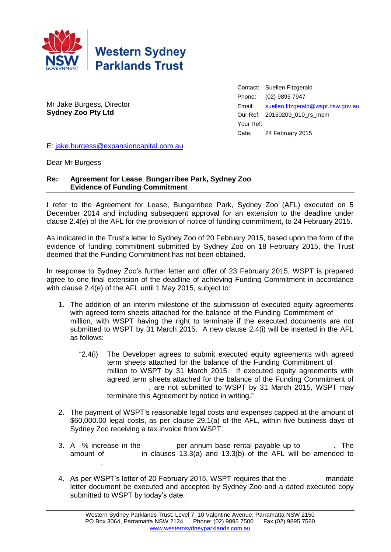

Mr Jake Burgess, Director **Sydney Zoo Pty Ltd**

Contact: Suellen Fitzgerald Phone: (02) 9895 7947 Email: [suellen.fitzgerald@wspt.nsw.gov.au](mailto:suellen.fitzgerald@wspt.nsw.gov.au) Our Ref: 20150209\_010\_rs\_mpm Your Ref: Date: 24 February 2015

E: [jake.burgess@expansioncapital.com.au](mailto:jake.burgess@expansioncapital.com.au)

Dear Mr Burgess

## **Re: Agreement for Lease**, **Bungarribee Park, Sydney Zoo Evidence of Funding Commitment**

I refer to the Agreement for Lease, Bungarribee Park, Sydney Zoo (AFL) executed on 5 December 2014 and including subsequent approval for an extension to the deadline under clause 2.4(e) of the AFL for the provision of notice of funding commitment, to 24 February 2015.

As indicated in the Trust's letter to Sydney Zoo of 20 February 2015, based upon the form of the evidence of funding commitment submitted by Sydney Zoo on 18 February 2015, the Trust deemed that the Funding Commitment has not been obtained.

In response to Sydney Zoo's further letter and offer of 23 February 2015, WSPT is prepared agree to one final extension of the deadline of achieving Funding Commitment in accordance with clause 2.4(e) of the AFL until 1 May 2015, subject to:

- 1. The addition of an interim milestone of the submission of executed equity agreements with agreed term sheets attached for the balance of the Funding Commitment of million, with WSPT having the right to terminate if the executed documents are not submitted to WSPT by 31 March 2015. A new clause 2.4(i) will be inserted in the AFL as follows:
	- "2.4(i) The Developer agrees to submit executed equity agreements with agreed term sheets attached for the balance of the Funding Commitment of million to WSPT by 31 March 2015. If executed equity agreements with agreed term sheets attached for the balance of the Funding Commitment of , are not submitted to WSPT by 31 March 2015, WSPT may terminate this Agreement by notice in writing."
- 2. The payment of WSPT's reasonable legal costs and expenses capped at the amount of \$60,000.00 legal costs, as per clause 29.1(a) of the AFL, within five business days of Sydney Zoo receiving a tax invoice from WSPT.
- 3. A  $%$  increase in the  $\longrightarrow$  per annum base rental payable up to  $\longrightarrow$ . The amount of  $\qquad \qquad$  in clauses 13.3(a) and 13.3(b) of the AFL will be amended to \$945,000.
- 4. As per WSPT's letter of 20 February 2015, WSPT requires that the Thandate letter document be executed and accepted by Sydney Zoo and a dated executed copy submitted to WSPT by today's date.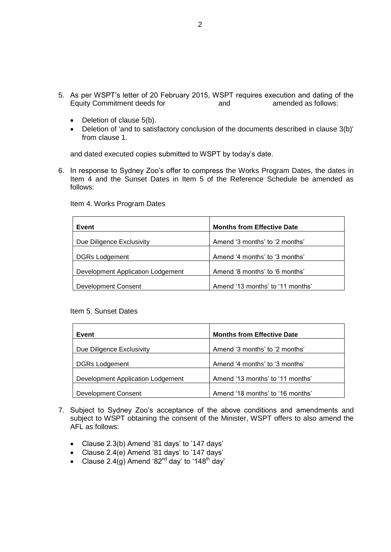- 5. As per WSPT's letter of 20 February 2015, WSPT requires execution and dating of the Equity Commitment deeds for Figure 2 and Alamended as follows:
	- $\bullet$  Deletion of clause 5(b).
	- Deletion of 'and to satisfactory conclusion of the documents described in clause 3(b)' from clause 1.

and dated executed copies submitted to WSPT by today's date.

6. In response to Sydney Zoo's offer to compress the Works Program Dates, the dates in Item 4 and the Sunset Dates in Item 5 of the Reference Schedule be amended as follows:

| Event                             | <b>Months from Effective Date</b> |
|-----------------------------------|-----------------------------------|
| Due Diligence Exclusivity         | Amend '3 months' to '2 months'    |
| <b>DGRs Lodgement</b>             | Amend '4 months' to '3 months'    |
| Development Application Lodgement | Amend '8 months' to '6 months'    |
| Development Consent               | Amend '13 months' to '11 months'  |

Item 4. Works Program Dates

## Item 5. Sunset Dates

| Event                             | <b>Months from Effective Date</b> |
|-----------------------------------|-----------------------------------|
| Due Diligence Exclusivity         | Amend '3 months' to '2 months'    |
| <b>DGRs Lodgement</b>             | Amend '4 months' to '3 months'    |
| Development Application Lodgement | Amend '13 months' to '11 months'  |
| <b>Development Consent</b>        | Amend '18 months' to '16 months'  |

- 7. Subject to Sydney Zoo's acceptance of the above conditions and amendments and subject to WSPT obtaining the consent of the Minister, WSPT offers to also amend the AFL as follows:
	- Clause 2.3(b) Amend '81 days' to '147 days'
	- Clause 2.4(e) Amend '81 days' to '147 days'
	- Clause 2.4(g) Amend '82<sup>nd</sup> day' to '148<sup>th</sup> day'